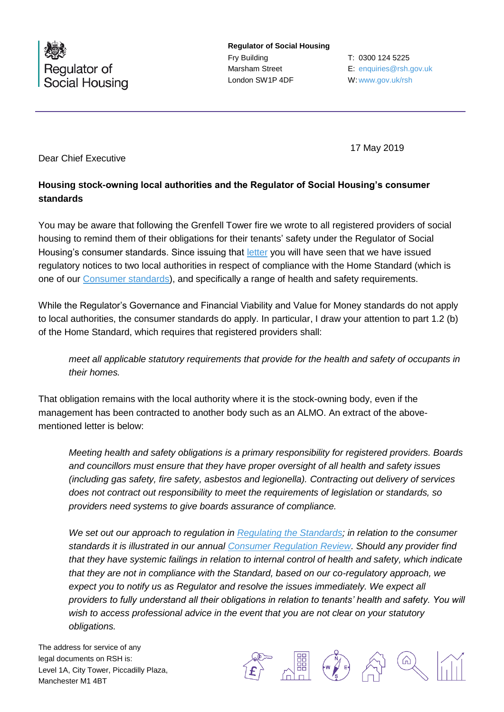

**Regulator of Social Housing** Fry Building Marsham Street London SW1P 4DF

T: 0300 124 5225 E: [enquiries@rsh.gov.uk](mailto:enquiries@rsh.gov.uk) W: [www.gov.uk/rsh](http://www.gov.uk/rsh)

17 May 2019

Dear Chief Executive

## **Housing stock-owning local authorities and the Regulator of Social Housing's consumer standards**

You may be aware that following the Grenfell Tower fire we wrote to all registered providers of social housing to remind them of their obligations for their tenants' safety under the Regulator of Social Housing's consumer standards. Since issuing that [letter](https://www.gov.uk/government/publications/letters-from-the-regulator-of-social-housing-grenfell) you will have seen that we have issued regulatory notices to two local authorities in respect of compliance with the Home Standard (which is one of our [Consumer standards\)](https://www.gov.uk/guidance/regulatory-standards), and specifically a range of health and safety requirements.

While the Regulator's Governance and Financial Viability and Value for Money standards do not apply to local authorities, the consumer standards do apply. In particular, I draw your attention to part 1.2 (b) of the Home Standard, which requires that registered providers shall:

*meet all applicable statutory requirements that provide for the health and safety of occupants in their homes.*

That obligation remains with the local authority where it is the stock-owning body, even if the management has been contracted to another body such as an ALMO. An extract of the abovementioned letter is below:

*Meeting health and safety obligations is a primary responsibility for registered providers. Boards and councillors must ensure that they have proper oversight of all health and safety issues (including gas safety, fire safety, asbestos and legionella). Contracting out delivery of services does not contract out responsibility to meet the requirements of legislation or standards, so providers need systems to give boards assurance of compliance.*

*We set out our approach to regulation in [Regulating the Standards;](https://www.gov.uk/government/publications/regulating-the-standards) in relation to the consumer standards it is illustrated in our annual [Consumer Regulation Review.](https://www.gov.uk/government/collections/consumer-regulation-review) Should any provider find that they have systemic failings in relation to internal control of health and safety, which indicate that they are not in compliance with the Standard, based on our co-regulatory approach, we expect you to notify us as Regulator and resolve the issues immediately. We expect all providers to fully understand all their obligations in relation to tenants' health and safety. You will wish to access professional advice in the event that you are not clear on your statutory obligations.*

The address for service of any legal documents on RSH is: Level 1A, City Tower, Piccadilly Plaza, Manchester M1 4BT